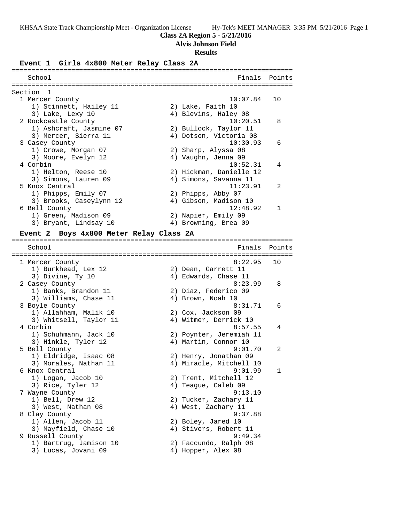## **Class 2A Region 5 - 5/21/2016**

## **Alvis Johnson Field**

## **Results**

### **Event 1 Girls 4x800 Meter Relay Class 2A**

| School                    | Finals                  | Points         |
|---------------------------|-------------------------|----------------|
|                           |                         |                |
| Section<br>$\overline{1}$ |                         |                |
| 1 Mercer County           | 10:07.84                | 10             |
| 1) Stinnett, Hailey 11    | 2) Lake, Faith 10       |                |
| 3) Lake, Lexy 10          | 4) Blevins, Haley 08    |                |
| 2 Rockcastle County       | 10:20.51                | $\mathsf{B}$   |
| 1) Ashcraft, Jasmine 07   | 2) Bullock, Taylor 11   |                |
| 3) Mercer, Sierra 11      | 4) Dotson, Victoria 08  |                |
| 3 Casey County            | 10:30.93                | 6              |
| 1) Crowe, Morgan 07       | 2) Sharp, Alyssa 08     |                |
| 3) Moore, Evelyn 12       | 4) Vaughn, Jenna 09     |                |
| 4 Corbin                  | 10:52.31                | 4              |
| 1) Helton, Reese 10       | 2) Hickman, Danielle 12 |                |
| 3) Simons, Lauren 09      | 4) Simons, Savanna 11   |                |
| 5 Knox Central            | 11:23.91                | $\mathfrak{D}$ |
| 1) Phipps, Emily 07       | 2) Phipps, Abby 07      |                |
| 3) Brooks, Caseylynn 12   | 4) Gibson, Madison 10   |                |
| 6 Bell County             | 12:48.92                |                |
| 1) Green, Madison 09      | 2) Napier, Emily 09     |                |
| 3) Bryant, Lindsay 10     | 4) Browning, Brea 09    |                |
|                           |                         |                |

## **Event 2 Boys 4x800 Meter Relay Class 2A**

======================================================================= Finals Points ======================================================================= 1 Mercer County 8:22.95 10 1) Burkhead, Lex 12 2) Dean, Garrett 11 3) Divine, Ty 10 4) Edwards, Chase 11 2 Casey County 8:23.99 8 1) Banks, Brandon 11 2) Diaz, Federico 09 3) Williams, Chase 11 (4) Brown, Noah 10 3 Boyle County 8:31.71 6 1) Allahham, Malik 10 2) Cox, Jackson 09 3) Whitsell, Taylor 11 4) Witmer, Derrick 10 4 Corbin 8:57.55 4 1) Schuhmann, Jack 10 2) Poynter, Jeremiah 11 3) Hinkle, Tyler 12 (4) Martin, Connor 10 5 Bell County 9:01.70 2 1) Eldridge, Isaac 08 2) Henry, Jonathan 09 3) Morales, Nathan 11 4) Miracle, Mitchell 10 6 Knox Central 9:01.99 1 1) Logan, Jacob 10 2) Trent, Mitchell 12 3) Rice, Tyler 12 (4) Teague, Caleb 09 7 Wayne County 9:13.10 1) Bell, Drew 12 2) Tucker, Zachary 11 3) West, Nathan 08 4) West, Zachary 11 8 Clay County 9:37.88 1) Allen, Jacob 11 2) Boley, Jared 10 3) Mayfield, Chase 10 4) Stivers, Robert 11 9 Russell County 9:49.34 1) Bartrug, Jamison 10 2) Faccundo, Ralph 08 3) Lucas, Jovani 09 (4) Hopper, Alex 08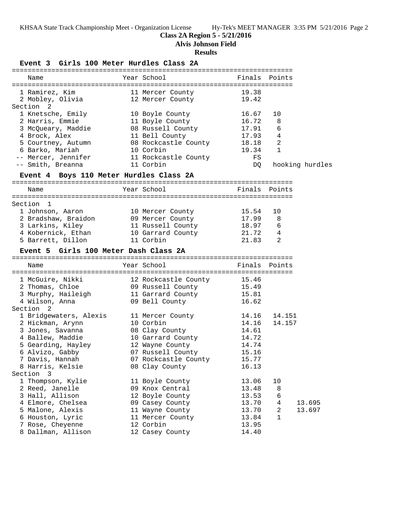# **Class 2A Region 5 - 5/21/2016**

**Alvis Johnson Field**

## **Results**

**Event 3 Girls 100 Meter Hurdles Class 2A**

|                                         | GILLS IVV MELEL NULUIES CIASS ZA |       |                |                 |
|-----------------------------------------|----------------------------------|-------|----------------|-----------------|
| Name                                    | Year School                      |       | Finals Points  |                 |
| 1 Ramirez, Kim                          | 11 Mercer County                 | 19.38 |                |                 |
| 2 Mobley, Olivia                        | 12 Mercer County                 | 19.42 |                |                 |
| Section 2                               |                                  |       |                |                 |
| 1 Knetsche, Emily                       | 10 Boyle County                  | 16.67 | 10             |                 |
| 2 Harris, Emmie                         | 11 Boyle County                  | 16.72 | 8              |                 |
| 3 McQueary, Maddie                      | 08 Russell County                | 17.91 | 6              |                 |
| 4 Brock, Alex                           | 11 Bell County                   | 17.93 | 4              |                 |
| 5 Courtney, Autumn                      | 08 Rockcastle County             | 18.18 | $\overline{2}$ |                 |
| 6 Barko, Mariah                         | 10 Corbin                        | 19.34 | $\mathbf{1}$   |                 |
| -- Mercer, Jennifer                     | 11 Rockcastle County             | FS    |                |                 |
| -- Smith, Breanna                       | 11 Corbin                        | DQ    |                | hooking hurdles |
| Event 4 Boys 110 Meter Hurdles Class 2A |                                  |       |                |                 |
| Name                                    | Year School                      |       | Finals Points  |                 |
|                                         |                                  |       |                |                 |
| Section 1                               |                                  |       |                |                 |
| 1 Johnson, Aaron                        | 10 Mercer County                 | 15.54 | 10             |                 |
| 2 Bradshaw, Braidon                     | 09 Mercer County                 | 17.99 | 8              |                 |
| 3 Larkins, Kiley                        | 11 Russell County                | 18.97 | 6              |                 |
| 4 Kobernick, Ethan                      | 10 Garrard County                | 21.72 | 4              |                 |
| 5 Barrett, Dillon                       | 11 Corbin                        | 21.83 | 2              |                 |
| Event 5 Girls 100 Meter Dash Class 2A   |                                  |       |                |                 |
| Name                                    | Year School                      |       | Finals Points  |                 |
| 1 McGuire, Nikki                        | 12 Rockcastle County 15.46       |       |                |                 |
| 2 Thomas, Chloe                         | 09 Russell County 15.49          |       |                |                 |
| 3 Murphy, Haileigh                      | 11 Garrard County                | 15.81 |                |                 |
| 4 Wilson, Anna                          | 09 Bell County                   | 16.62 |                |                 |
| Section <sub>2</sub>                    |                                  |       |                |                 |
| 1 Bridgewaters, Alexis                  | 11 Mercer County                 | 14.16 | 14.151         |                 |
| 2 Hickman, Arynn                        | 10 Corbin                        | 14.16 | 14.157         |                 |
| 3 Jones, Savanna                        | 08 Clay County                   | 14.61 |                |                 |
| 4 Ballew, Maddie                        | 10 Garrard County                | 14.72 |                |                 |
| 5 Gearding, Hayley                      | 12 Wayne County                  | 14.74 |                |                 |
| 6 Alvizo, Gabby                         | 07 Russell County                | 15.16 |                |                 |
| 7 Davis, Hannah                         | 07 Rockcastle County 15.77       |       |                |                 |
| 8 Harris, Kelsie                        | 08 Clay County                   | 16.13 |                |                 |
| Section 3                               |                                  |       |                |                 |
| 1 Thompson, Kylie                       | 11 Boyle County                  | 13.06 | 10             |                 |
| 2 Reed, Janelle                         | 09 Knox Central                  | 13.48 | 8              |                 |
| 3 Hall, Allison                         | 12 Boyle County                  | 13.53 | 6              |                 |
| 4 Elmore, Chelsea                       | 09 Casey County                  | 13.70 | 4              | 13.695          |
| 5 Malone, Alexis                        | 11 Wayne County                  | 13.70 | 2              | 13.697          |
| 6 Houston, Lyric                        | 11 Mercer County                 | 13.84 | $\mathbf 1$    |                 |
| 7 Rose, Cheyenne                        | 12 Corbin                        | 13.95 |                |                 |
| 8 Dallman, Allison                      | 12 Casey County                  | 14.40 |                |                 |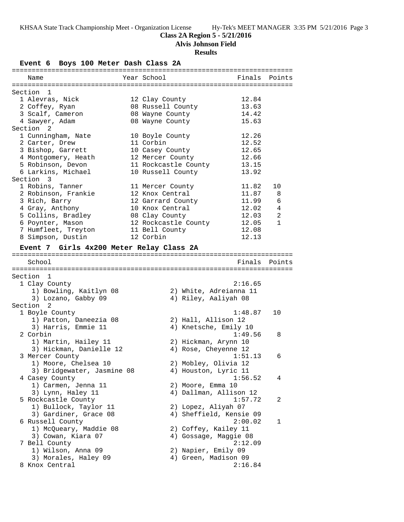## **Class 2A Region 5 - 5/21/2016**

**Alvis Johnson Field**

### **Results**

**Event 6 Boys 100 Meter Dash Class 2A** ======================================================================= Name The Year School Team Points Points ======================================================================= Section 1 1 Alevras, Nick 12 Clay County 12.84 2 Coffey, Ryan 08 Russell County 13.63 3 Scalf, Cameron 08 Wayne County 14.42 4 Sawyer, Adam 08 Wayne County 15.63 Section 2 1 Cunningham, Nate 10 Boyle County 12.26 2 Carter, Drew 11 Corbin 12.52 3 Bishop, Garrett 10 Casey County 12.65 4 Montgomery, Heath 12 Mercer County 12.66 5 Robinson, Devon 11 Rockcastle County 13.15 6 Larkins, Michael 10 Russell County 13.92 Section 3 1 Robins, Tanner 11 Mercer County 11.82 10 2 Robinson, Frankie 12 Knox Central 11.87 8 3 Rich, Barry 12 Garrard County 11.99 6 4 Gray, Anthony 10 Knox Central 12.02 4 5 Collins, Bradley 08 Clay County 12.03 2 6 Poynter, Mason 12 Rockcastle County 12.05 1 7 Humfleet, Treyton 11 Bell County 12.08 8 Simpson, Dustin 12 Corbin 12 12.13 **Event 7 Girls 4x200 Meter Relay Class 2A** ======================================================================= School **Finals Points** ======================================================================= Section 1<br>1 Clay County 1 Clay County 2:16.65 1) Bowling, Kaitlyn 08 2) White, Adreianna 11 3) Lozano, Gabby 09  $\hskip1cm$  4) Riley, Aaliyah 08 Section 2<br>1 Boyle County 1 Boyle County 1:48.87 10 1) Patton, Daneezia 08 2) Hall, Allison 12 3) Harris, Emmie 11 4) Knetsche, Emily 10 2 Corbin 1:49.56 8 1) Martin, Hailey 11 2) Hickman, Arynn 10 3) Hickman, Danielle 12  $\hskip1cm$  4) Rose, Cheyenne 12 3 Mercer County 1:51.13 6 1) Moore, Chelsea 10 2) Mobley, Olivia 12 3) Bridgewater, Jasmine 08 (4) Houston, Lyric 11 4 Casey County 1:56.52 4 1) Carmen, Jenna 11 2) Moore, Emma 10 3) Lynn, Haley 11 4) Dallman, Allison 12 5 Rockcastle County 1:57.72 2 1) Bullock, Taylor 11 2) Lopez, Aliyah 07 3) Gardiner, Grace 08 4) Sheffield, Kensie 09 6 Russell County 2:00.02 1 1) McQueary, Maddie 08 2) Coffey, Kailey 11 3) Cowan, Kiara 07 4) Gossage, Maggie 08 7 Bell County 2:12.09 1) Wilson, Anna 09 2) Napier, Emily 09 3) Morales, Haley 09  $\hskip1cm \hskip 4.6cm 4$ ) Green, Madison 09 8 Knox Central 2:16.84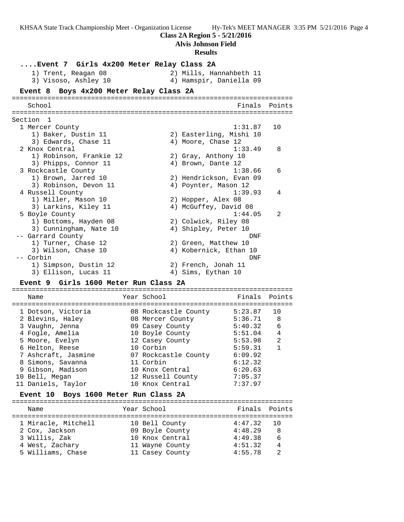**Class 2A Region 5 - 5/21/2016 Alvis Johnson Field Results ....Event 7 Girls 4x200 Meter Relay Class 2A** 1) Trent, Reagan 08 2) Mills, Hannahbeth 11 3) Visoso, Ashley 10 4) Hamspir, Daniella 09 **Event 8 Boys 4x200 Meter Relay Class 2A** ======================================================================= School Finals Points ======================================================================= Section 1 1 Mercer County 1:31.87 10 1) Baker, Dustin 11 2) Easterling, Mishi 10 3) Edwards, Chase 11 (4) Moore, Chase 12 2 Knox Central 1:33.49 8 1) Robinson, Frankie 12 2) Gray, Anthony 10 3) Phipps, Connor 11 4) Brown, Dante 12 3 Rockcastle County 1:38.66 6 1) Brown, Jarred 10 2) Hendrickson, Evan 09 3) Robinson, Devon 11 (4) Poynter, Mason 12 4 Russell County 1:39.93 4 1) Miller, Mason 10 2) Hopper, Alex 08 3) Larkins, Kiley 11 4) McGuffey, David 08 5 Boyle County 1:44.05 2 1) Bottoms, Hayden 08 2) Colwick, Riley 08 3) Cunningham, Nate 10  $\hskip 1.5cm 4$  Shipley, Peter 10 -- Garrard County DNF 1) Turner, Chase 12 2) Green, Matthew 10 3) Wilson, Chase 10 4) Kobernick, Ethan 10 -- Corbin DNF 1) Simpson, Dustin 12 2) French, Jonah 11 3) Ellison, Lucas 11 (4) Anns, Eythan 10

KHSAA State Track Championship Meet - Organization License Hy-Tek's MEET MANAGER 3:35 PM 5/21/2016 Page 4

#### **Event 9 Girls 1600 Meter Run Class 2A**

======================================================================= Name The Year School The Points Points ======================================================================= 1 Dotson, Victoria 08 Rockcastle County 5:23.87 10 2 Blevins, Haley 08 Mercer County 5:36.71 8 3 Vaughn, Jenna 09 Casey County 5:40.32 6 4 Fogle, Amelia 10 Boyle County 5:51.04 4 5 Moore, Evelyn 12 Casey County 5:53.98 2 6 Helton, Reese 10 Corbin 5:59.31 1 7 Ashcraft, Jasmine 07 Rockcastle County 6:09.92 8 Simons, Savanna 11 Corbin 6:12.32 9 Gibson, Madison 10 Knox Central 6:20.63 10 Bell, Megan 12 Russell County 7:05.37 11 Daniels, Taylor 10 Knox Central 7:37.97

#### **Event 10 Boys 1600 Meter Run Class 2A**

======================================================================= Name Tear School Tear School Finals Points ======================================================================= 1 Miracle, Mitchell 10 Bell County 4:47.32 10 2 Cox, Jackson 09 Boyle County 4:48.29 8 3 Willis, Zak 10 Knox Central 4:49.38 6 4 West, Zachary 11 Wayne County 4:51.32 4 5 Williams, Chase 11 Casey County 4:55.78 2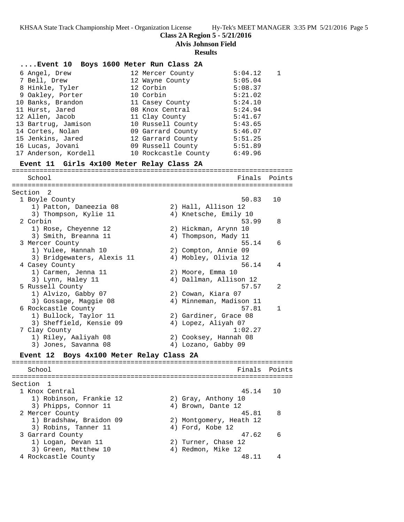**Class 2A Region 5 - 5/21/2016**

**Alvis Johnson Field**

# **Results**

| Event 10 Boys 1600 Meter Run Class 2A     |                      |  |                   |                         |        |
|-------------------------------------------|----------------------|--|-------------------|-------------------------|--------|
|                                           |                      |  |                   |                         |        |
| 6 Angel, Drew                             | 12 Mercer County     |  |                   | 5:04.12                 | 1      |
| 7 Bell, Drew                              | 12 Wayne County      |  |                   | 5:05.04                 |        |
| 8 Hinkle, Tyler                           | 12 Corbin            |  |                   | 5:08.37                 |        |
| 9 Oakley, Porter                          | 10 Corbin            |  |                   | 5:21.02                 |        |
| 10 Banks, Brandon                         | 11 Casey County      |  |                   | 5:24.10                 |        |
| 11 Hurst, Jared                           | 08 Knox Central      |  |                   | 5:24.94                 |        |
| 12 Allen, Jacob                           | 11 Clay County       |  |                   | 5:41.67                 |        |
| 13 Bartrug, Jamison                       | 10 Russell County    |  |                   | 5:43.65                 |        |
| 14 Cortes, Nolan                          | 09 Garrard County    |  |                   | 5:46.07                 |        |
| 15 Jenkins, Jared                         | 12 Garrard County    |  |                   | 5:51.25                 |        |
| 16 Lucas, Jovani                          | 09 Russell County    |  |                   | 5:51.89                 |        |
| 17 Anderson, Kordell                      | 10 Rockcastle County |  |                   | 6:49.96                 |        |
| Event 11 Girls 4x100 Meter Relay Class 2A |                      |  |                   |                         |        |
|                                           |                      |  |                   |                         |        |
| School                                    |                      |  |                   | Finals                  | Points |
| Section<br>-2                             |                      |  |                   |                         |        |
| 1 Boyle County                            |                      |  |                   | 50.83                   | 10     |
| 1) Patton, Daneezia 08                    |                      |  |                   | 2) Hall, Allison 12     |        |
| 3) Thompson, Kylie 11                     |                      |  |                   | 4) Knetsche, Emily 10   |        |
| 2 Corbin                                  |                      |  |                   | 53.99                   | 8      |
| 1) Rose, Cheyenne 12                      |                      |  |                   | 2) Hickman, Arynn 10    |        |
| 3) Smith, Breanna 11                      |                      |  |                   | 4) Thompson, Mady 11    |        |
| 3 Mercer County                           |                      |  |                   | 55.14                   | 6      |
| 1) Yulee, Hannah 10                       |                      |  |                   | 2) Compton, Annie 09    |        |
| 3) Bridgewaters, Alexis 11                |                      |  |                   | 4) Mobley, Olivia 12    |        |
| 4 Casey County                            |                      |  |                   | 56.14                   | 4      |
| 1) Carmen, Jenna 11                       |                      |  | 2) Moore, Emma 10 |                         |        |
| 3) Lynn, Haley 11                         |                      |  |                   | 4) Dallman, Allison 12  |        |
| 5 Russell County                          |                      |  |                   | 57.57                   | 2      |
| 1) Alvizo, Gabby 07                       |                      |  |                   | 2) Cowan, Kiara 07      |        |
| 3) Gossage, Maggie 08                     |                      |  |                   | 4) Minneman, Madison 11 |        |
| 6 Rockcastle County                       |                      |  |                   | 57.81                   | 1      |
| 1) Bullock, Taylor 11                     |                      |  |                   | 2) Gardiner, Grace 08   |        |
| 3) Sheffield, Kensie 09                   |                      |  |                   | 4) Lopez, Aliyah 07     |        |
| 7 Clay County                             |                      |  |                   | 1:02.27                 |        |
| 1) Riley, Aaliyah 08                      |                      |  |                   | 2) Cooksey, Hannah 08   |        |
| 3) Jones, Savanna 08                      |                      |  |                   | 4) Lozano, Gabby 09     |        |
| Event 12 Boys 4x100 Meter Relay Class 2A  |                      |  |                   |                         |        |
|                                           |                      |  |                   |                         |        |
| School                                    |                      |  |                   | Finals                  | Points |
|                                           |                      |  |                   |                         |        |
| Section<br>1                              |                      |  |                   |                         |        |
| 1 Knox Central                            |                      |  |                   | 45.14                   | 10     |
| 1) Robinson, Frankie 12                   |                      |  |                   | 2) Gray, Anthony 10     |        |
| 3) Phipps, Connor 11                      |                      |  |                   | 4) Brown, Dante 12      |        |
| 2 Mercer County                           |                      |  |                   | 45.81                   | 8      |
| 1) Bradshaw, Braidon 09                   |                      |  |                   | 2) Montgomery, Heath 12 |        |
| 3) Robins, Tanner 11                      |                      |  | 4) Ford, Kobe 12  |                         |        |
| 3 Garrard County                          |                      |  |                   | 47.62                   | 6      |
| 1) Logan, Devan 11                        |                      |  |                   | 2) Turner, Chase 12     |        |
| 3) Green, Matthew 10                      |                      |  |                   | 4) Redmon, Mike 12      |        |
| 4 Rockcastle County                       |                      |  |                   | 48.11                   | 4      |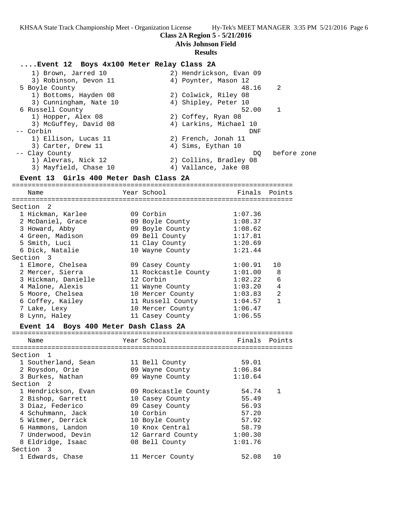**Class 2A Region 5 - 5/21/2016**

**Alvis Johnson Field**

#### **Results**

## **....Event 12 Boys 4x100 Meter Relay Class 2A**

 1) Brown, Jarred 10 2) Hendrickson, Evan 09 3) Robinson, Devon 11 (4) Poynter, Mason 12 5 Boyle County 48.16 2 1) Bottoms, Hayden 08 2) Colwick, Riley 08 3) Cunningham, Nate 10 (4) Shipley, Peter 10 6 Russell County 52.00 1 1) Hopper, Alex 08 2) Coffey, Ryan 08 3) McGuffey, David 08 4) Larkins, Michael 10 -- Corbin DNF 1) Ellison, Lucas 11 2) French, Jonah 11 3) Carter, Drew 11 4) Sims, Eythan 10 -- Clay County  $DQ$  before zone 1) Alevras, Nick 12 2) Collins, Bradley 08 3) Mayfield, Chase 10 (4) Vallance, Jake 08

## **Event 13 Girls 400 Meter Dash Class 2A**

=======================================================================

Name Year School Finals Points ======================================================================= Section 2

| 1 Hickman, Karlee   | 09 Corbin            | 1:07.36 |                |
|---------------------|----------------------|---------|----------------|
| 2 McDaniel, Grace   | 09 Boyle County      | 1:08.37 |                |
| 3 Howard, Abby      | 09 Boyle County      | 1:08.62 |                |
| 4 Green, Madison    | 09 Bell County       | 1:17.81 |                |
| 5 Smith, Luci       | 11 Clay County       | 1:20.69 |                |
| 6 Dick, Natalie     | 10 Wayne County      | 1:21.44 |                |
| Section 3           |                      |         |                |
| 1 Elmore, Chelsea   | 09 Casey County      | 1:00.91 | 10             |
| 2 Mercer, Sierra    | 11 Rockcastle County | 1:01.00 | 8              |
| 3 Hickman, Danielle | 12 Corbin            | 1:02.22 | 6              |
| 4 Malone, Alexis    | 11 Wayne County      | 1:03.20 | $\overline{4}$ |
| 5 Moore, Chelsea    | 10 Mercer County     | 1:03.83 | $\overline{2}$ |
| 6 Coffey, Kailey    | 11 Russell County    | 1:04.57 | 1              |
| 7 Lake, Lexy        | 10 Mercer County     | 1:06.47 |                |
| 8 Lynn, Haley       | 11 Casey County      | 1:06.55 |                |
|                     |                      |         |                |

## **Event 14 Boys 400 Meter Dash Class 2A**

| Name                | Year School          | Finals  | Points |
|---------------------|----------------------|---------|--------|
| Section 1           |                      |         |        |
| 1 Southerland, Sean | 11 Bell County       | 59.01   |        |
| 2 Roysdon, Orie     | 09 Wayne County      | 1:06.84 |        |
| 3 Burkes, Nathan    | 09 Wayne County      | 1:10.64 |        |
| Section 2           |                      |         |        |
| 1 Hendrickson, Evan | 09 Rockcastle County | 54.74   |        |
| 2 Bishop, Garrett   | 10 Casey County      | 55.49   |        |
| 3 Diaz, Federico    | 09 Casey County      | 56.93   |        |
| 4 Schuhmann, Jack   | 10 Corbin            | 57.20   |        |
| 5 Witmer, Derrick   | 10 Boyle County      | 57.92   |        |
| 6 Hammons, Landon   | 10 Knox Central      | 58.79   |        |
| 7 Underwood, Devin  | 12 Garrard County    | 1:00.30 |        |
| 8 Eldridge, Isaac   | 08 Bell County       | 1:01.76 |        |
| Section 3           |                      |         |        |
| 1 Edwards, Chase    | 11 Mercer County     | 52.08   | 1 O    |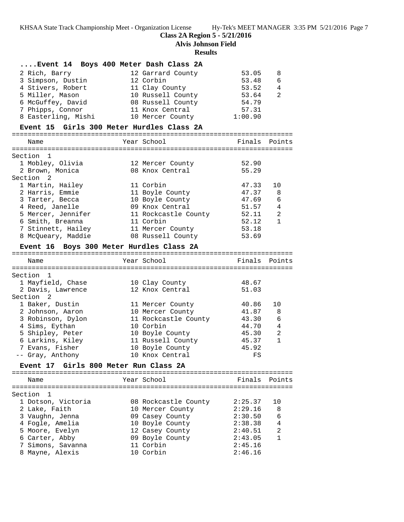**Class 2A Region 5 - 5/21/2016**

**Alvis Johnson Field**

## **Results**

## **....Event 14 Boys 400 Meter Dash Class 2A**

| 2 Rich, Barry       | 12 Garrard County | 53.05   | - 8            |
|---------------------|-------------------|---------|----------------|
|                     |                   |         |                |
| 3 Simpson, Dustin   | 12 Corbin         | 53.48   | -6             |
| 4 Stivers, Robert   | 11 Clay County    | 53.52   | $\overline{4}$ |
| 5 Miller, Mason     | 10 Russell County | 53.64   | 2              |
| 6 McGuffey, David   | 08 Russell County | 54.79   |                |
| 7 Phipps, Connor    | 11 Knox Central   | 57.31   |                |
| 8 Easterling, Mishi | 10 Mercer County  | 1:00.90 |                |
|                     |                   |         |                |

### **Event 15 Girls 300 Meter Hurdles Class 2A**

| Name               |  | Finals Points                                                                                                                                                                                          |                |
|--------------------|--|--------------------------------------------------------------------------------------------------------------------------------------------------------------------------------------------------------|----------------|
| Section 1          |  |                                                                                                                                                                                                        |                |
| 1 Mobley, Olivia   |  | 52.90                                                                                                                                                                                                  |                |
| 2 Brown, Monica    |  | 55.29                                                                                                                                                                                                  |                |
| Section 2          |  |                                                                                                                                                                                                        |                |
| 1 Martin, Hailey   |  | 47.33                                                                                                                                                                                                  | 1 O            |
| 2 Harris, Emmie    |  | 47.37                                                                                                                                                                                                  | 8              |
| 3 Tarter, Becca    |  | 47.69                                                                                                                                                                                                  | $\sqrt{2}$     |
| 4 Reed, Janelle    |  | 51.57                                                                                                                                                                                                  | 4              |
| 5 Mercer, Jennifer |  | 52.11                                                                                                                                                                                                  | $\mathfrak{D}$ |
| 6 Smith, Breanna   |  | 52.12                                                                                                                                                                                                  | 1              |
| 7 Stinnett, Hailey |  | 53.18                                                                                                                                                                                                  |                |
| 8 McOueary, Maddie |  | 53.69                                                                                                                                                                                                  |                |
|                    |  | Year School<br>12 Mercer County<br>08 Knox Central<br>11 Corbin<br>11 Boyle County<br>10 Boyle County<br>09 Knox Central<br>11 Rockcastle County<br>11 Corbin<br>11 Mercer County<br>08 Russell County |                |

## **Event 16 Boys 300 Meter Hurdles Class 2A**

| Name              | Year School          | Finals Points |                |
|-------------------|----------------------|---------------|----------------|
| Section 1         |                      |               |                |
| 1 Mayfield, Chase | 10 Clay County       | 48.67         |                |
| 2 Davis, Lawrence | 12 Knox Central      | 51.03         |                |
| Section 2         |                      |               |                |
| 1 Baker, Dustin   | 11 Mercer County     | 40.86         | 10             |
| 2 Johnson, Aaron  | 10 Mercer County     | 41.87         | 8              |
| 3 Robinson, Dylon | 11 Rockcastle County | 43.30         | $\sqrt{2}$     |
| 4 Sims, Eythan    | 10 Corbin            | 44.70         | $\overline{4}$ |
| 5 Shipley, Peter  | 10 Boyle County      | 45.30         | $\mathfrak{D}$ |
| 6 Larkins, Kiley  | 11 Russell County    | 45.37         | 1              |
| 7 Evans, Fisher   | 10 Boyle County      | 45.92         |                |
| -- Gray, Anthony  | 10 Knox Central      | FS            |                |
|                   |                      |               |                |

## **Event 17 Girls 800 Meter Run Class 2A**

======================================================================= Year School **Finals** Points ======================================================================= Section 1 1 Dotson, Victoria 08 Rockcastle County 2:25.37 10 2 Lake, Faith 10 Mercer County 2:29.16 8 3 Vaughn, Jenna 09 Casey County 2:30.50 6 4 Fogle, Amelia 10 Boyle County 2:38.38 4 5 Moore, Evelyn 12 Casey County 2:40.51 2 6 Carter, Abby 09 Boyle County 2:43.05 1 7 Simons, Savanna 11 Corbin 2:45.16 8 Mayne, Alexis 10 Corbin 2:46.16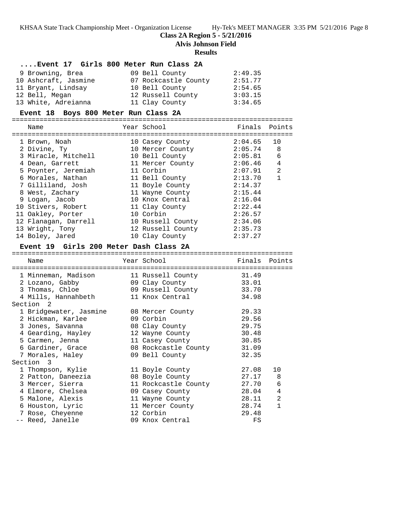## **Class 2A Region 5 - 5/21/2016**

**Alvis Johnson Field**

### **Results**

## **....Event 17 Girls 800 Meter Run Class 2A**

| 9 Browning, Brea     | 09 Bell County       | 2:49.35 |
|----------------------|----------------------|---------|
| 10 Ashcraft, Jasmine | 07 Rockcastle County | 2:51.77 |
| 11 Bryant, Lindsay   | 10 Bell County       | 2:54.65 |
| 12 Bell, Megan       | 12 Russell County    | 3:03.15 |
| 13 White, Adreianna  | 11 Clay County       | 3:34.65 |

#### **Event 18 Boys 800 Meter Run Class 2A** =======================================================================

| Name                 | Year School       | Finals Points |                |
|----------------------|-------------------|---------------|----------------|
| 1 Brown, Noah        | 10 Casey County   | 2:04.65       | 10             |
| 2 Divine, Ty         | 10 Mercer County  | $2:05.74$ 8   |                |
| 3 Miracle, Mitchell  | 10 Bell County    | 2:05.81       | 6              |
| 4 Dean, Garrett      | 11 Mercer County  | 2:06.46       | $\overline{4}$ |
| 5 Poynter, Jeremiah  | 11 Corbin         | 2:07.91       | 2              |
| 6 Morales, Nathan    | 11 Bell County    | 2:13.70       | $\mathbf{1}$   |
| 7 Gilliland, Josh    | 11 Boyle County   | 2:14.37       |                |
| 8 West, Zachary      | 11 Wayne County   | 2:15.44       |                |
| 9 Logan, Jacob       | 10 Knox Central   | 2:16.04       |                |
| 10 Stivers, Robert   | 11 Clay County    | 2:22.44       |                |
| 11 Oakley, Porter    | 10 Corbin         | 2:26.57       |                |
| 12 Flanagan, Darrell | 10 Russell County | 2:34.06       |                |
| 13 Wright, Tony      | 12 Russell County | 2:35.73       |                |
| 14 Boley, Jared      | 10 Clay County    | 2:37.27       |                |

## **Event 19 Girls 200 Meter Dash Class 2A**

| Name                   | Year School          | Finals | Points       |
|------------------------|----------------------|--------|--------------|
|                        |                      |        |              |
| 1 Minneman, Madison    | 11 Russell County    | 31.49  |              |
| 2 Lozano, Gabby        | 09 Clay County       | 33.01  |              |
| 3 Thomas, Chloe        | 09 Russell County    | 33.70  |              |
| 4 Mills, Hannahbeth    | 11 Knox Central      | 34.98  |              |
| Section <sub>2</sub>   |                      |        |              |
| 1 Bridgewater, Jasmine | 08 Mercer County     | 29.33  |              |
| 2 Hickman, Karlee      | 09 Corbin            | 29.56  |              |
| 3 Jones, Savanna       | 08 Clay County       | 29.75  |              |
| 4 Gearding, Hayley     | 12 Wayne County      | 30.48  |              |
| 5 Carmen, Jenna        | 11 Casey County      | 30.85  |              |
| 6 Gardiner, Grace      | 08 Rockcastle County | 31.09  |              |
| 7 Morales, Haley       | 09 Bell County       | 32.35  |              |
| Section 3              |                      |        |              |
| 1 Thompson, Kylie      | 11 Boyle County      | 27.08  | 10           |
| 2 Patton, Daneezia     | 08 Boyle County      | 27.17  | 8            |
| 3 Mercer, Sierra       | 11 Rockcastle County | 27.70  | 6            |
| 4 Elmore, Chelsea      | 09 Casey County      | 28.04  | 4            |
| 5 Malone, Alexis       | 11 Wayne County      | 28.11  | 2            |
| 6 Houston, Lyric       | 11 Mercer County     | 28.74  | $\mathbf{1}$ |
| 7 Rose, Cheyenne       | 12 Corbin            | 29.48  |              |
| -- Reed, Janelle       | 09 Knox Central      | FS     |              |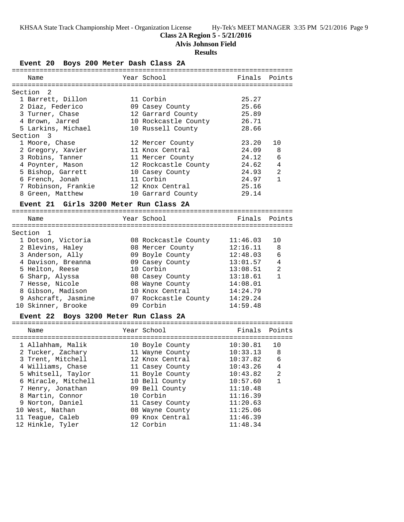## **Class 2A Region 5 - 5/21/2016**

**Alvis Johnson Field**

## **Results**

**Event 20 Boys 200 Meter Dash Class 2A** ======================================================================= Name The Year School The Pinals Points ======================================================================= Section 2 1 Barrett, Dillon 11 Corbin 25.27 2 Diaz, Federico 09 Casey County 25.66 3 Turner, Chase 12 Garrard County 25.89 4 Brown, Jarred 10 Rockcastle County 26.71 5 Larkins, Michael 10 Russell County 28.66 Section 3 1 Moore, Chase 12 Mercer County 23.20 10 2 Gregory, Xavier 11 Knox Central 24.09 8 3 Robins, Tanner 11 Mercer County 24.12 6 4 Poynter, Mason 12 Rockcastle County 24.62 4 5 Bishop, Garrett 10 Casey County 24.93 2 6 French, Jonah 11 Corbin 24.97 1 7 Robinson, Frankie 12 Knox Central 25.16 8 Green, Matthew 10 Garrard County 29.14 **Event 21 Girls 3200 Meter Run Class 2A** ======================================================================= Name The Year School The Finals Points ======================================================================= Section 1 1 Dotson, Victoria 08 Rockcastle County 11:46.03 10 2 Blevins, Haley 08 Mercer County 12:16.11 8 3 Anderson, Ally 09 Boyle County 12:48.03 6 4 Davison, Breanna 09 Casey County 13:01.57 4 5 Helton, Reese 10 Corbin 13:08.51 2 6 Sharp, Alyssa 08 Casey County 13:18.61 1 7 Hesse, Nicole 08 Wayne County 14:08.01 8 Gibson, Madison 10 Knox Central 14:24.79 9 Ashcraft, Jasmine 07 Rockcastle County 14:29.24 10 Skinner, Brooke 09 Corbin 14:59.48 **Event 22 Boys 3200 Meter Run Class 2A** ======================================================================= Name The Year School The Finals Points ======================================================================= 1 Allahham, Malik 10 Boyle County 10:30.81 10 2 Tucker, Zachary 11 Wayne County 10:33.13 8 3 Trent, Mitchell 12 Knox Central 10:37.82 6 4 Williams, Chase 11 Casey County 10:43.26 4 5 Whitsell, Taylor 11 Boyle County 10:43.82 2 6 Miracle, Mitchell 10 Bell County 10:57.60 1 7 Henry, Jonathan 09 Bell County 11:10.48 8 Martin, Connor 10 Corbin 11:16.39 9 Norton, Daniel 11 Casey County 11:20.63 10 West, Nathan 08 Wayne County 11:25.06 11 Teague, Caleb 09 Knox Central 11:46.39 12 Hinkle, Tyler 12 Corbin 11:48.34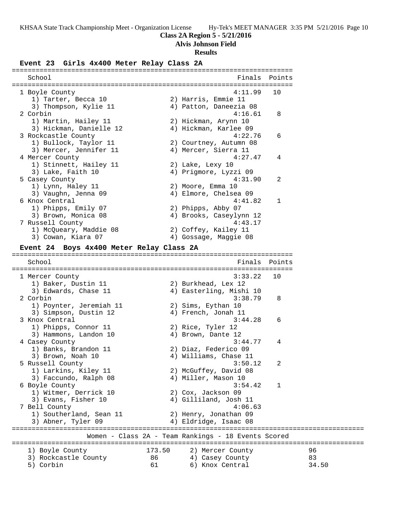# **Class 2A Region 5 - 5/21/2016**

**Alvis Johnson Field**

## **Results**

# **Event 23 Girls 4x400 Meter Relay Class 2A**

| School                                          |          | Finals                                              | Points |             |
|-------------------------------------------------|----------|-----------------------------------------------------|--------|-------------|
|                                                 |          |                                                     |        |             |
| 1 Boyle County<br>1) Tarter, Becca 10           |          | 4:11.99<br>2) Harris, Emmie 11                      | 10     |             |
| 3) Thompson, Kylie 11                           |          | 4) Patton, Daneezia 08                              |        |             |
| 2 Corbin                                        |          | 4:16.61                                             | 8      |             |
| 1) Martin, Hailey 11                            |          | 2) Hickman, Arynn 10                                |        |             |
| 3) Hickman, Danielle 12                         |          | 4) Hickman, Karlee 09                               |        |             |
|                                                 |          | 4:22.76                                             | 6      |             |
| 3 Rockcastle County                             |          |                                                     |        |             |
| 1) Bullock, Taylor 11<br>3) Mercer, Jennifer 11 |          | 2) Courtney, Autumn 08<br>4) Mercer, Sierra 11      |        |             |
| 4 Mercer County                                 |          | 4:27.47                                             |        |             |
|                                                 |          |                                                     | 4      |             |
| 1) Stinnett, Hailey 11                          |          | 2) Lake, Lexy 10                                    |        |             |
| 3) Lake, Faith 10                               |          | 4) Prigmore, Lyzzi 09<br>4:31.90                    |        |             |
| 5 Casey County                                  |          |                                                     | 2      |             |
| 1) Lynn, Haley 11                               |          | 2) Moore, Emma 10                                   |        |             |
| 3) Vaughn, Jenna 09                             |          | 4) Elmore, Chelsea 09                               |        |             |
| 6 Knox Central                                  |          | 4:41.82                                             | 1      |             |
| 1) Phipps, Emily 07                             |          | 2) Phipps, Abby 07                                  |        |             |
| 3) Brown, Monica 08                             |          | 4) Brooks, Caseylynn 12                             |        |             |
| 7 Russell County                                |          | 4:43.17                                             |        |             |
| 1) McQueary, Maddie 08                          |          | 2) Coffey, Kailey 11                                |        |             |
| 3) Cowan, Kiara 07                              |          | 4) Gossage, Maggie 08                               |        |             |
| Event 24 Boys 4x400 Meter Relay Class 2A        |          |                                                     |        |             |
|                                                 |          |                                                     |        |             |
| School                                          |          | Finals                                              | Points |             |
|                                                 |          |                                                     |        |             |
| 1 Mercer County                                 |          | 3:33.22                                             | 10     |             |
| 1) Baker, Dustin 11                             |          | 2) Burkhead, Lex 12                                 |        |             |
| 3) Edwards, Chase 11                            |          | 4) Easterling, Mishi 10                             |        |             |
| 2 Corbin                                        |          | 3:38.79                                             | 8      |             |
| 1) Poynter, Jeremiah 11                         |          | 2) Sims, Eythan 10                                  |        |             |
| 3) Simpson, Dustin 12                           |          | 4) French, Jonah 11                                 |        |             |
| 3 Knox Central                                  |          | 3:44.28                                             | 6      |             |
| 1) Phipps, Connor 11                            |          | 2) Rice, Tyler 12                                   |        |             |
| 3) Hammons, Landon 10                           |          | 4) Brown, Dante 12                                  |        |             |
| 4 Casey County                                  |          | 3:44.77                                             | 4      |             |
| 1) Banks, Brandon 11                            |          | 2) Diaz, Federico 09                                |        |             |
| 3) Brown, Noah 10                               |          | 4) Williams, Chase 11                               |        |             |
| 5 Russell County                                |          | 3:50.12                                             |        |             |
| 1) Larkins, Kiley 11                            |          | 2) McGuffey, David 08                               |        |             |
| 3) Faccundo, Ralph 08                           |          | 4) Miller, Mason 10                                 |        |             |
| 6 Boyle County                                  |          | 3:54.42                                             | 1      |             |
| 1) Witmer, Derrick 10                           |          | 2) Cox, Jackson 09                                  |        |             |
| 3) Evans, Fisher 10                             |          | 4) Gilliland, Josh 11                               |        |             |
| 7 Bell County                                   |          |                                                     |        |             |
|                                                 |          | 4:06.63                                             |        |             |
| 1) Southerland, Sean 11                         |          | 2) Henry, Jonathan 09                               |        |             |
| 3) Abner, Tyler 09                              |          | 4) Eldridge, Isaac 08                               |        |             |
|                                                 |          |                                                     |        |             |
|                                                 |          | Women - Class 2A - Team Rankings - 18 Events Scored |        |             |
|                                                 |          |                                                     |        |             |
| 1) Boyle County                                 | 173.50   | 2) Mercer County                                    |        | 96          |
| 3) Rockcastle County<br>5) Corbin               | 86<br>61 | 4) Casey County<br>6) Knox Central                  |        | 83<br>34.50 |